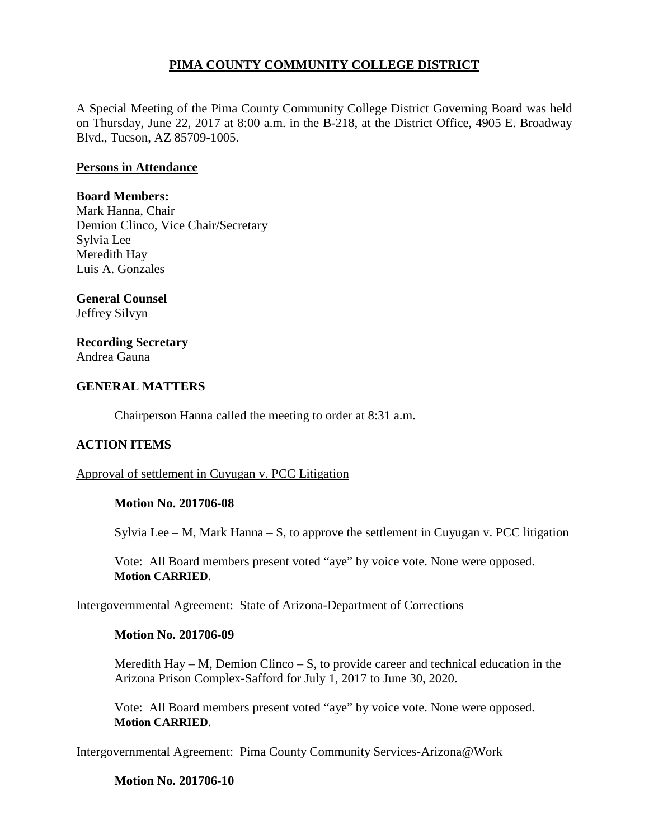### **PIMA COUNTY COMMUNITY COLLEGE DISTRICT**

A Special Meeting of the Pima County Community College District Governing Board was held on Thursday, June 22, 2017 at 8:00 a.m. in the B-218, at the District Office, 4905 E. Broadway Blvd., Tucson, AZ 85709-1005.

#### **Persons in Attendance**

#### **Board Members:**

Mark Hanna, Chair Demion Clinco, Vice Chair/Secretary Sylvia Lee Meredith Hay Luis A. Gonzales

## **General Counsel**

Jeffrey Silvyn

# **Recording Secretary**

Andrea Gauna

#### **GENERAL MATTERS**

Chairperson Hanna called the meeting to order at 8:31 a.m.

#### **ACTION ITEMS**

Approval of settlement in Cuyugan v. PCC Litigation

#### **Motion No. 201706-08**

Sylvia Lee  $- M$ , Mark Hanna  $- S$ , to approve the settlement in Cuyugan v. PCC litigation

Vote: All Board members present voted "aye" by voice vote. None were opposed. **Motion CARRIED**.

Intergovernmental Agreement: State of Arizona-Department of Corrections

#### **Motion No. 201706-09**

Meredith Hay – M, Demion Clinco – S, to provide career and technical education in the Arizona Prison Complex-Safford for July 1, 2017 to June 30, 2020.

Vote: All Board members present voted "aye" by voice vote. None were opposed. **Motion CARRIED**.

Intergovernmental Agreement: Pima County Community Services-Arizona@Work

#### **Motion No. 201706-10**